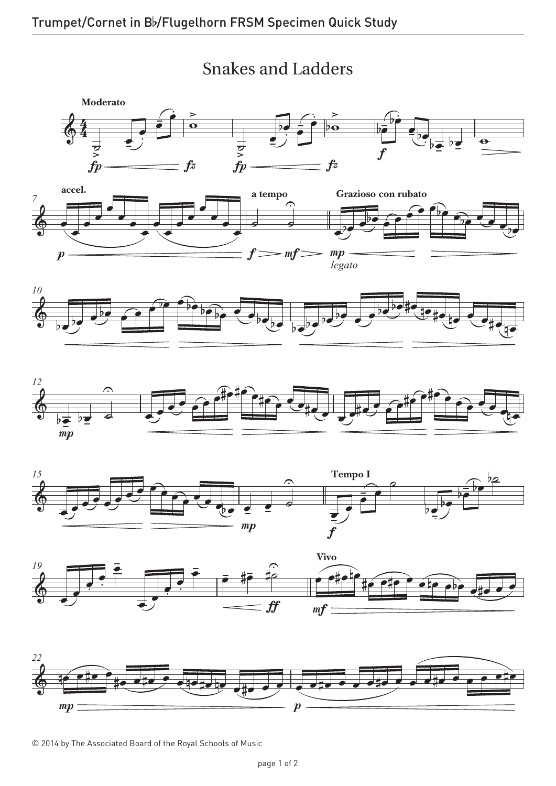

## Snakes and Ladders Snakes and Ladders











© 2014 by The Associated Board of the Royal Schools of Music